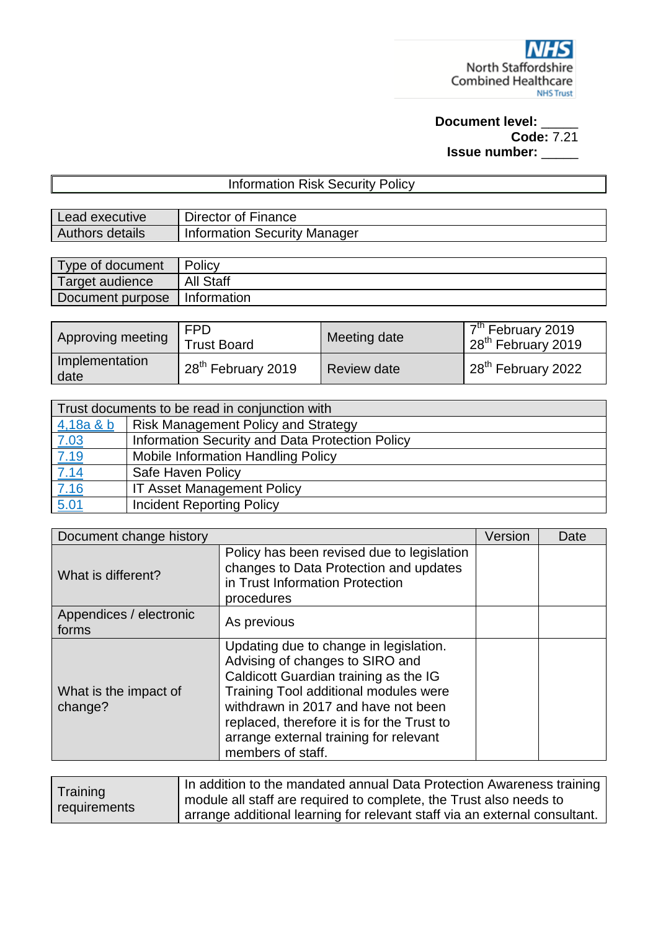

## Document level: \_\_\_\_ **Code:** 7.21 **Issue number:** \_\_\_\_\_

# Information Risk Security Policy

| <b>Lead executive</b>  | Director of Finance          |
|------------------------|------------------------------|
| <b>Authors details</b> | Information Security Manager |

| Type of document | Policy           |
|------------------|------------------|
| Target audience  | <b>All Staff</b> |
| Document purpose | Information      |

| Approving meeting      | <b>FPD</b><br><b>Trust Board</b> | Meeting date | 7 <sup>th</sup> February 2019<br>, 28 <sup>th</sup> February 2019 |
|------------------------|----------------------------------|--------------|-------------------------------------------------------------------|
| Implementation<br>date | ⊿ 28 <sup>th</sup> February 2019 | Review date  | 28 <sup>th</sup> February 2022                                    |

| Trust documents to be read in conjunction with              |                                                 |  |  |
|-------------------------------------------------------------|-------------------------------------------------|--|--|
| 4,18a & b                                                   | <b>Risk Management Policy and Strategy</b>      |  |  |
|                                                             | Information Security and Data Protection Policy |  |  |
|                                                             | <b>Mobile Information Handling Policy</b>       |  |  |
|                                                             | Safe Haven Policy                               |  |  |
|                                                             | <b>IT Asset Management Policy</b>               |  |  |
| $\frac{7.03}{7.19}$ $\frac{7.14}{7.16}$ $\frac{7.16}{5.01}$ | <b>Incident Reporting Policy</b>                |  |  |

| Document change history          |                                                                                                                                                                                                                                                                                                                 | Version | Date |
|----------------------------------|-----------------------------------------------------------------------------------------------------------------------------------------------------------------------------------------------------------------------------------------------------------------------------------------------------------------|---------|------|
| What is different?               | Policy has been revised due to legislation<br>changes to Data Protection and updates<br>in Trust Information Protection<br>procedures                                                                                                                                                                           |         |      |
| Appendices / electronic<br>forms | As previous                                                                                                                                                                                                                                                                                                     |         |      |
| What is the impact of<br>change? | Updating due to change in legislation.<br>Advising of changes to SIRO and<br>Caldicott Guardian training as the IG<br>Training Tool additional modules were<br>withdrawn in 2017 and have not been<br>replaced, therefore it is for the Trust to<br>arrange external training for relevant<br>members of staff. |         |      |

| Training     | In addition to the mandated annual Data Protection Awareness training      |
|--------------|----------------------------------------------------------------------------|
|              | module all staff are required to complete, the Trust also needs to         |
| requirements | arrange additional learning for relevant staff via an external consultant. |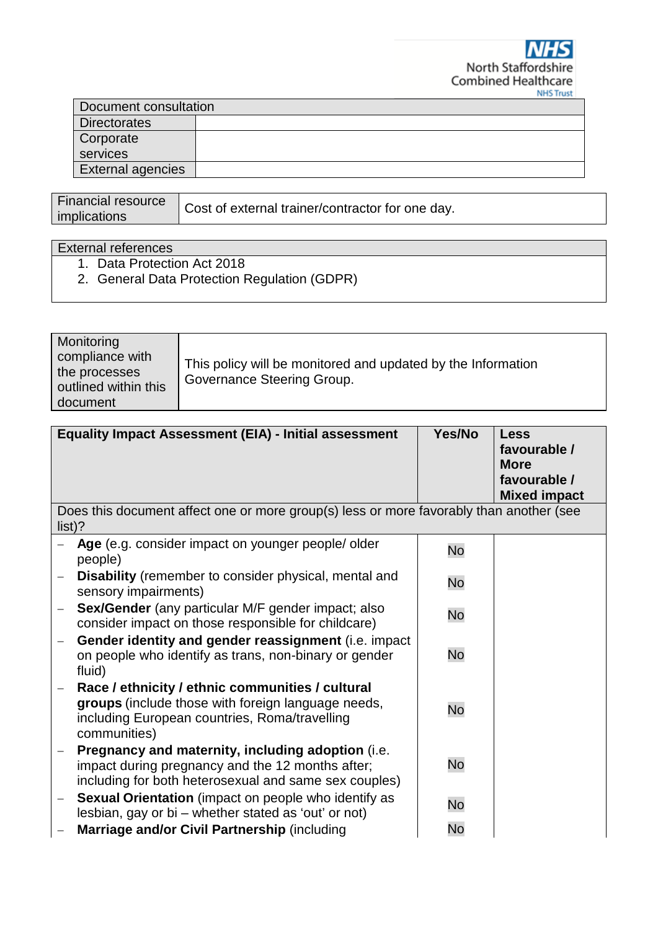

| Document consultation    |  |  |  |
|--------------------------|--|--|--|
| Directorates             |  |  |  |
| <b>Corporate</b>         |  |  |  |
| services                 |  |  |  |
| <b>External agencies</b> |  |  |  |

| <b>Financial resource</b> | Cost of external trainer/contractor for one day. |
|---------------------------|--------------------------------------------------|
| implications              |                                                  |

| <b>External references</b>                   |  |
|----------------------------------------------|--|
| 1. Data Protection Act 2018                  |  |
| 2. General Data Protection Regulation (GDPR) |  |

| Monitoring<br>compliance with<br>the processes<br>outlined within this<br>document | This policy will be monitored and updated by the Information<br>Governance Steering Group. |
|------------------------------------------------------------------------------------|--------------------------------------------------------------------------------------------|
|------------------------------------------------------------------------------------|--------------------------------------------------------------------------------------------|

| <b>Equality Impact Assessment (EIA) - Initial assessment</b> |                                                                                                                                                                         | Yes/No    | <b>Less</b><br>favourable /<br><b>More</b><br>favourable /<br><b>Mixed impact</b> |
|--------------------------------------------------------------|-------------------------------------------------------------------------------------------------------------------------------------------------------------------------|-----------|-----------------------------------------------------------------------------------|
| $list)$ ?                                                    | Does this document affect one or more group(s) less or more favorably than another (see                                                                                 |           |                                                                                   |
|                                                              | Age (e.g. consider impact on younger people/ older<br>people)                                                                                                           | <b>No</b> |                                                                                   |
|                                                              | <b>Disability</b> (remember to consider physical, mental and<br>sensory impairments)                                                                                    | No        |                                                                                   |
|                                                              | Sex/Gender (any particular M/F gender impact; also<br>consider impact on those responsible for childcare)                                                               | <b>No</b> |                                                                                   |
|                                                              | Gender identity and gender reassignment (i.e. impact<br>on people who identify as trans, non-binary or gender<br>fluid)                                                 | No        |                                                                                   |
|                                                              | Race / ethnicity / ethnic communities / cultural<br>groups (include those with foreign language needs,<br>including European countries, Roma/travelling<br>communities) | <b>No</b> |                                                                                   |
|                                                              | Pregnancy and maternity, including adoption (i.e.<br>impact during pregnancy and the 12 months after;<br>including for both heterosexual and same sex couples)          | <b>No</b> |                                                                                   |
|                                                              | <b>Sexual Orientation</b> (impact on people who identify as<br>lesbian, gay or bi – whether stated as 'out' or not)                                                     | No        |                                                                                   |
|                                                              | Marriage and/or Civil Partnership (including                                                                                                                            | No        |                                                                                   |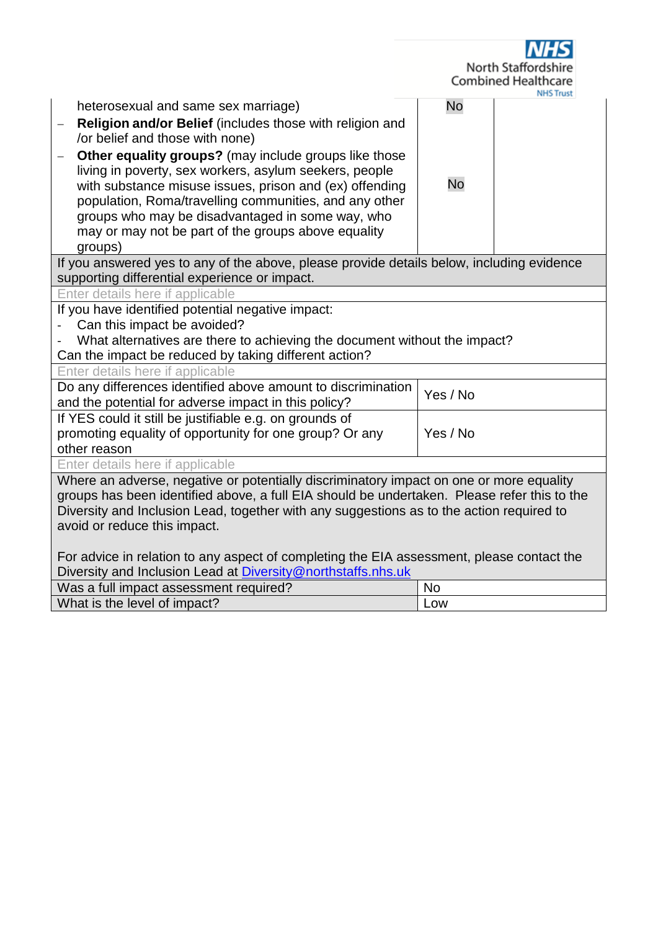|                                                                                                                                                                                                                                                                                                                                                            |           | North Staffordshire<br><b>Combined Healthcare</b><br><b>NHS Trust</b> |
|------------------------------------------------------------------------------------------------------------------------------------------------------------------------------------------------------------------------------------------------------------------------------------------------------------------------------------------------------------|-----------|-----------------------------------------------------------------------|
| heterosexual and same sex marriage)                                                                                                                                                                                                                                                                                                                        | <b>No</b> |                                                                       |
| Religion and/or Belief (includes those with religion and<br>/or belief and those with none)                                                                                                                                                                                                                                                                |           |                                                                       |
| Other equality groups? (may include groups like those<br>living in poverty, sex workers, asylum seekers, people<br>with substance misuse issues, prison and (ex) offending<br>population, Roma/travelling communities, and any other<br>groups who may be disadvantaged in some way, who<br>may or may not be part of the groups above equality<br>groups) | <b>No</b> |                                                                       |
| If you answered yes to any of the above, please provide details below, including evidence<br>supporting differential experience or impact.                                                                                                                                                                                                                 |           |                                                                       |
| Enter details here if applicable                                                                                                                                                                                                                                                                                                                           |           |                                                                       |
| If you have identified potential negative impact:                                                                                                                                                                                                                                                                                                          |           |                                                                       |
| Can this impact be avoided?<br>What alternatives are there to achieving the document without the impact?                                                                                                                                                                                                                                                   |           |                                                                       |
| Can the impact be reduced by taking different action?                                                                                                                                                                                                                                                                                                      |           |                                                                       |
| Enter details here if applicable                                                                                                                                                                                                                                                                                                                           |           |                                                                       |
| Do any differences identified above amount to discrimination<br>and the potential for adverse impact in this policy?                                                                                                                                                                                                                                       | Yes / No  |                                                                       |
| If YES could it still be justifiable e.g. on grounds of<br>promoting equality of opportunity for one group? Or any<br>other reason                                                                                                                                                                                                                         | Yes / No  |                                                                       |
| Enter details here if applicable                                                                                                                                                                                                                                                                                                                           |           |                                                                       |
| Where an adverse, negative or potentially discriminatory impact on one or more equality                                                                                                                                                                                                                                                                    |           |                                                                       |
| groups has been identified above, a full EIA should be undertaken. Please refer this to the<br>Diversity and Inclusion Lead, together with any suggestions as to the action required to                                                                                                                                                                    |           |                                                                       |
| avoid or reduce this impact.                                                                                                                                                                                                                                                                                                                               |           |                                                                       |
|                                                                                                                                                                                                                                                                                                                                                            |           |                                                                       |
| For advice in relation to any aspect of completing the EIA assessment, please contact the                                                                                                                                                                                                                                                                  |           |                                                                       |
| Diversity and Inclusion Lead at Diversity@northstaffs.nhs.uk                                                                                                                                                                                                                                                                                               |           |                                                                       |
| Was a full impact assessment required?                                                                                                                                                                                                                                                                                                                     | <b>No</b> |                                                                       |
| What is the level of impact?                                                                                                                                                                                                                                                                                                                               | Low       |                                                                       |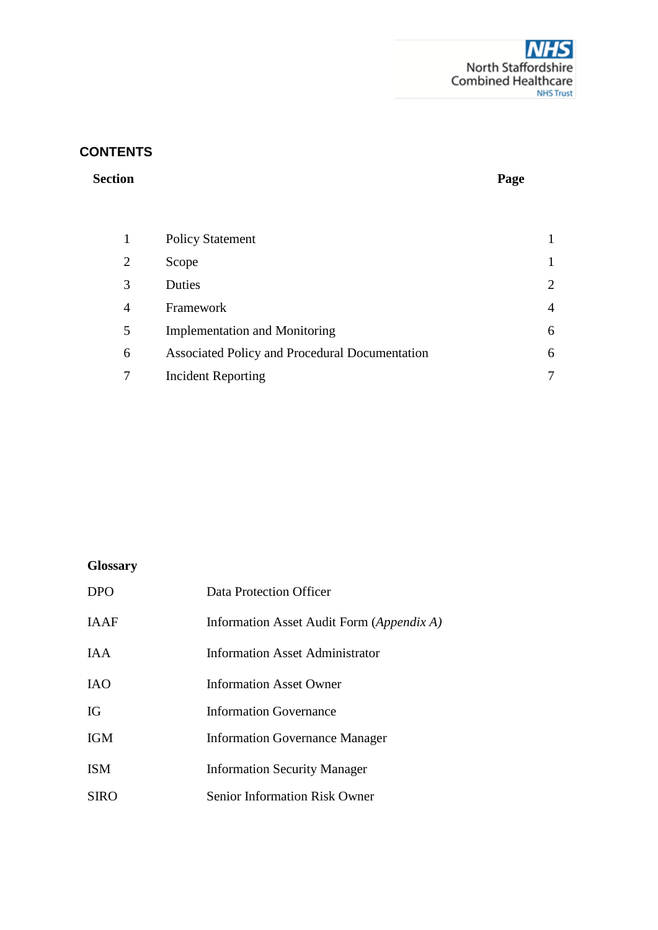

# **CONTENTS**

#### **Section Page**

|   | <b>Policy Statement</b>                        |                             |
|---|------------------------------------------------|-----------------------------|
|   | Scope                                          |                             |
|   | Duties                                         | $\mathcal{D}_{\mathcal{L}}$ |
| 4 | Framework                                      | $\overline{4}$              |
|   | <b>Implementation and Monitoring</b>           | 6                           |
| 6 | Associated Policy and Procedural Documentation | 6                           |
|   | <b>Incident Reporting</b>                      | 7                           |

# **Glossary**

| <b>DPO</b>  | Data Protection Officer                   |
|-------------|-------------------------------------------|
| <b>IAAF</b> | Information Asset Audit Form (Appendix A) |
| IA A        | Information Asset Administrator           |
| <b>IAO</b>  | <b>Information Asset Owner</b>            |
| IG          | <b>Information Governance</b>             |
| IGM         | <b>Information Governance Manager</b>     |
| <b>ISM</b>  | <b>Information Security Manager</b>       |
| <b>SIRO</b> | <b>Senior Information Risk Owner</b>      |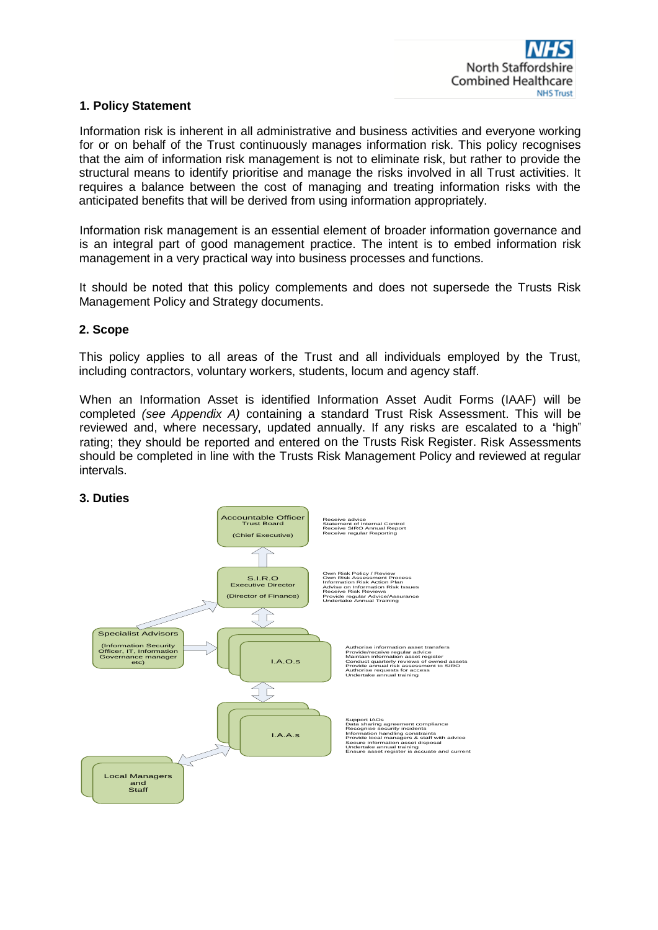

## **1. Policy Statement**

Information risk is inherent in all administrative and business activities and everyone working for or on behalf of the Trust continuously manages information risk. This policy recognises that the aim of information risk management is not to eliminate risk, but rather to provide the structural means to identify prioritise and manage the risks involved in all Trust activities. It requires a balance between the cost of managing and treating information risks with the anticipated benefits that will be derived from using information appropriately.

Information risk management is an essential element of broader information governance and is an integral part of good management practice. The intent is to embed information risk management in a very practical way into business processes and functions.

It should be noted that this policy complements and does not supersede the Trusts Risk Management Policy and Strategy documents.

## **2. Scope**

This policy applies to all areas of the Trust and all individuals employed by the Trust, including contractors, voluntary workers, students, locum and agency staff.

When an Information Asset is identified Information Asset Audit Forms (IAAF) will be completed *(see Appendix A)* containing a standard Trust Risk Assessment. This will be reviewed and, where necessary, updated annually. If any risks are escalated to a "high" rating; they should be reported and entered on the Trusts Risk Register. Risk Assessments should be completed in line with the Trusts Risk Management Policy and reviewed at regular intervals.

#### **3. Duties**

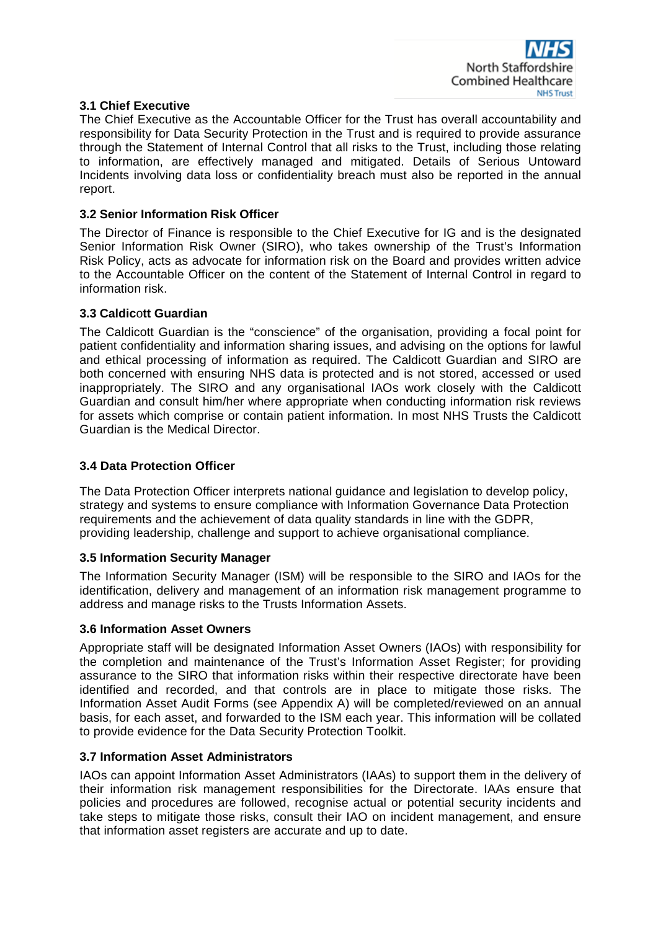

## **3.1 Chief Executive**

The Chief Executive as the Accountable Officer for the Trust has overall accountability and responsibility for Data Security Protection in the Trust and is required to provide assurance through the Statement of Internal Control that all risks to the Trust, including those relating to information, are effectively managed and mitigated. Details of Serious Untoward Incidents involving data loss or confidentiality breach must also be reported in the annual report.

## **3.2 Senior Information Risk Officer**

The Director of Finance is responsible to the Chief Executive for IG and is the designated Senior Information Risk Owner (SIRO), who takes ownership of the Trust's Information Risk Policy, acts as advocate for information risk on the Board and provides written advice to the Accountable Officer on the content of the Statement of Internal Control in regard to information risk.

## **3.3 Caldic**o**tt Guardian**

The Caldicott Guardian is the "conscience" of the organisation, providing a focal point for patient confidentiality and information sharing issues, and advising on the options for lawful and ethical processing of information as required. The Caldicott Guardian and SIRO are both concerned with ensuring NHS data is protected and is not stored, accessed or used inappropriately. The SIRO and any organisational IAOs work closely with the Caldicott Guardian and consult him/her where appropriate when conducting information risk reviews for assets which comprise or contain patient information. In most NHS Trusts the Caldicott Guardian is the Medical Director.

## **3.4 Data Protection Officer**

The Data Protection Officer interprets national guidance and legislation to develop policy, strategy and systems to ensure compliance with Information Governance Data Protection requirements and the achievement of data quality standards in line with the GDPR, providing leadership, challenge and support to achieve organisational compliance.

#### **3.5 Information Security Manager**

The Information Security Manager (ISM) will be responsible to the SIRO and IAOs for the identification, delivery and management of an information risk management programme to address and manage risks to the Trusts Information Assets.

#### **3.6 Information Asset Owners**

Appropriate staff will be designated Information Asset Owners (IAOs) with responsibility for the completion and maintenance of the Trust's Information Asset Register; for providing assurance to the SIRO that information risks within their respective directorate have been identified and recorded, and that controls are in place to mitigate those risks. The Information Asset Audit Forms (see Appendix A) will be completed/reviewed on an annual basis, for each asset, and forwarded to the ISM each year. This information will be collated to provide evidence for the Data Security Protection Toolkit.

#### **3.7 Information Asset Administrators**

IAOs can appoint Information Asset Administrators (IAAs) to support them in the delivery of their information risk management responsibilities for the Directorate. IAAs ensure that policies and procedures are followed, recognise actual or potential security incidents and take steps to mitigate those risks, consult their IAO on incident management, and ensure that information asset registers are accurate and up to date.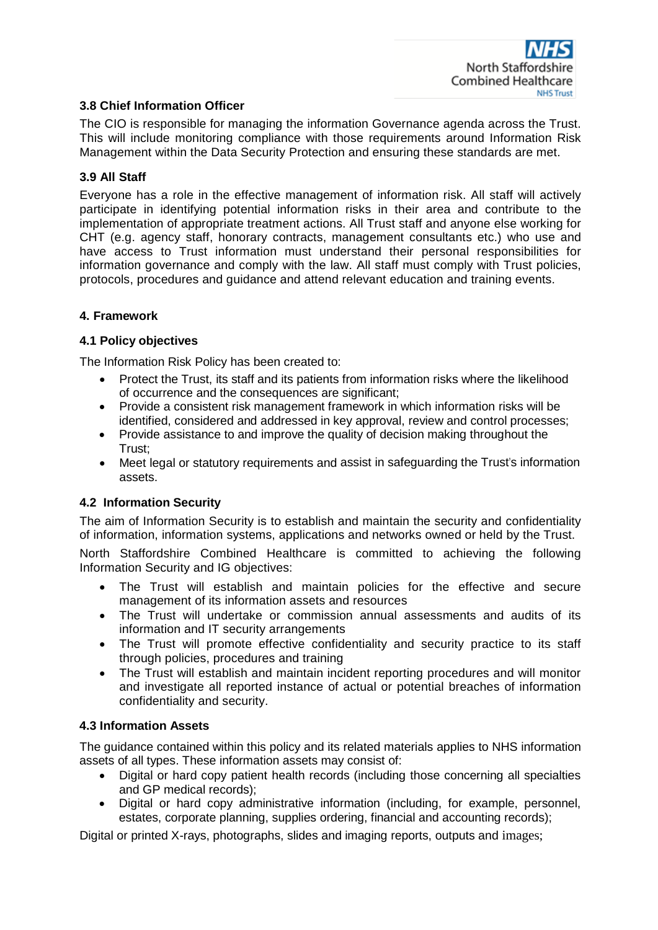

## **3.8 Chief Information Officer**

The CIO is responsible for managing the information Governance agenda across the Trust. This will include monitoring compliance with those requirements around Information Risk Management within the Data Security Protection and ensuring these standards are met.

## **3.9 All Staff**

Everyone has a role in the effective management of information risk. All staff will actively participate in identifying potential information risks in their area and contribute to the implementation of appropriate treatment actions. All Trust staff and anyone else working for CHT (e.g. agency staff, honorary contracts, management consultants etc.) who use and have access to Trust information must understand their personal responsibilities for information governance and comply with the law. All staff must comply with Trust policies, protocols, procedures and guidance and attend relevant education and training events.

## **4. Framework**

## **4.1 Policy objectives**

The Information Risk Policy has been created to:

- Protect the Trust, its staff and its patients from information risks where the likelihood of occurrence and the consequences are significant;
- Provide a consistent risk management framework in which information risks will be identified, considered and addressed in key approval, review and control processes;
- Provide assistance to and improve the quality of decision making throughout the Trust;
- Meet legal or statutory requirements and assist in safeguarding the Trust's information assets.

## **4.2 Information Security**

The aim of Information Security is to establish and maintain the security and confidentiality of information, information systems, applications and networks owned or held by the Trust.

North Staffordshire Combined Healthcare is committed to achieving the following Information Security and IG objectives:

- The Trust will establish and maintain policies for the effective and secure management of its information assets and resources
- The Trust will undertake or commission annual assessments and audits of its information and IT security arrangements
- The Trust will promote effective confidentiality and security practice to its staff through policies, procedures and training
- The Trust will establish and maintain incident reporting procedures and will monitor and investigate all reported instance of actual or potential breaches of information confidentiality and security.

## **4.3 Information Assets**

The guidance contained within this policy and its related materials applies to NHS information assets of all types. These information assets may consist of:

- Digital or hard copy patient health records (including those concerning all specialties and GP medical records);
- Digital or hard copy administrative information (including, for example, personnel, estates, corporate planning, supplies ordering, financial and accounting records);

Digital or printed X-rays, photographs, slides and imaging reports, outputs and images;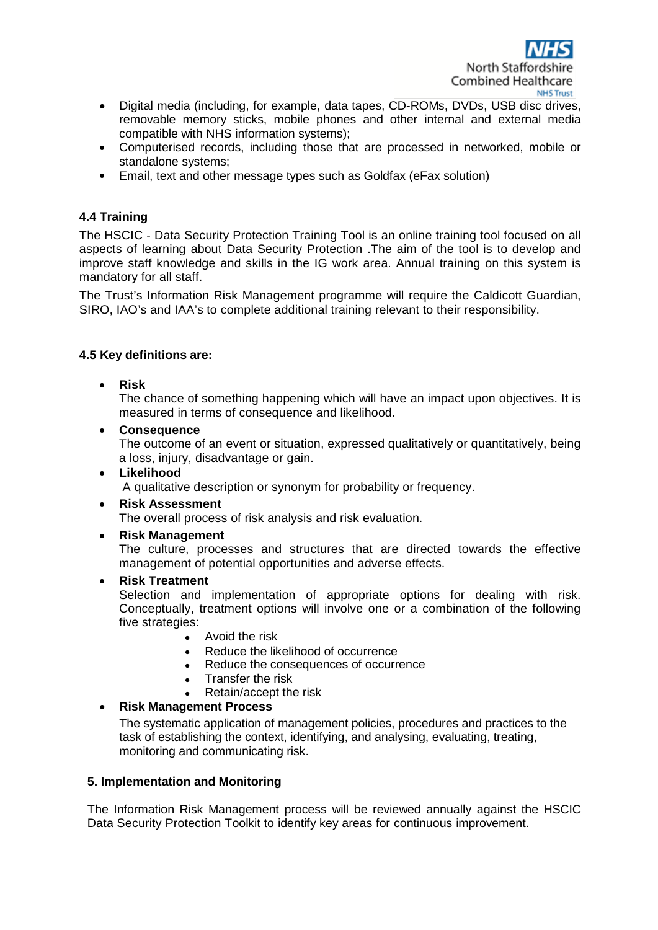

- Digital media (including, for example, data tapes, CD-ROMs, DVDs, USB disc drives, removable memory sticks, mobile phones and other internal and external media compatible with NHS information systems);
- Computerised records, including those that are processed in networked, mobile or standalone systems;
- Email, text and other message types such as Goldfax (eFax solution)

## **4.4 Training**

The HSCIC - Data Security Protection Training Tool is an online training tool focused on all aspects of learning about Data Security Protection .The aim of the tool is to develop and improve staff knowledge and skills in the IG work area. Annual training on this system is mandatory for all staff.

The Trust's Information Risk Management programme will require the Caldicott Guardian, SIRO, IAO's and IAA's to complete additional training relevant to their responsibility.

## **4.5 Key definitions are:**

• **Risk**

The chance of something happening which will have an impact upon objectives. It is measured in terms of consequence and likelihood.

• **Consequence**

The outcome of an event or situation, expressed qualitatively or quantitatively, being a loss, injury, disadvantage or gain.

• **Likelihood**

A qualitative description or synonym for probability or frequency.

- **Risk Assessment** The overall process of risk analysis and risk evaluation.
- **Risk Management**

The culture, processes and structures that are directed towards the effective management of potential opportunities and adverse effects.

• **Risk Treatment**

Selection and implementation of appropriate options for dealing with risk. Conceptually, treatment options will involve one or a combination of the following five strategies:

- Avoid the risk
- Reduce the likelihood of occurrence
- Reduce the consequences of occurrence
- Transfer the risk
- Retain/accept the risk

## • **Risk Management Process**

The systematic application of management policies, procedures and practices to the task of establishing the context, identifying, and analysing, evaluating, treating, monitoring and communicating risk.

## **5. Implementation and Monitoring**

The Information Risk Management process will be reviewed annually against the HSCIC Data Security Protection Toolkit to identify key areas for continuous improvement.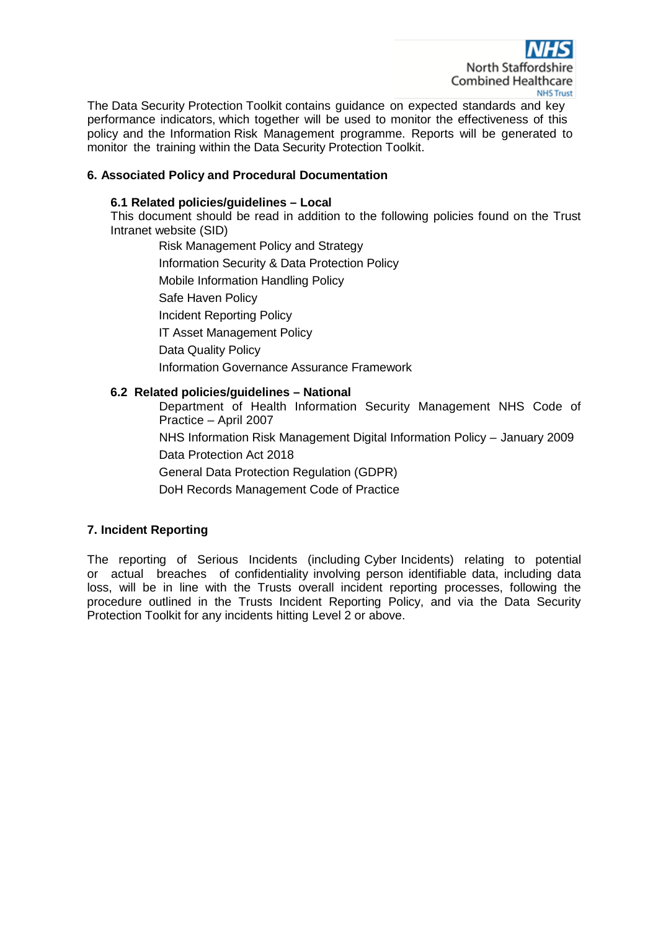

The Data Security Protection Toolkit contains guidance on expected standards and key performance indicators, which together will be used to monitor the effectiveness of this policy and the Information Risk Management programme. Reports will be generated to monitor the training within the Data Security Protection Toolkit.

## **6. Associated Policy and Procedural Documentation**

## **6.1 Related policies/guidelines – Local**

This document should be read in addition to the following policies found on the Trust Intranet website (SID)

Risk Management Policy and Strategy Information Security & Data Protection Policy Mobile Information Handling Policy Safe Haven Policy Incident Reporting Policy IT Asset Management Policy Data Quality Policy Information Governance Assurance Framework

## **6.2 Related policies/guidelines – National**

Department of Health Information Security Management NHS Code of Practice – April 2007

NHS Information Risk Management Digital Information Policy – January 2009 Data Protection Act 2018

General Data Protection Regulation (GDPR)

DoH Records Management Code of Practice

## **7. Incident Reporting**

The reporting of Serious Incidents (including Cyber Incidents) relating to potential or actual breaches of confidentiality involving person identifiable data, including data loss, will be in line with the Trusts overall incident reporting processes, following the procedure outlined in the Trusts Incident Reporting Policy, and via the Data Security Protection Toolkit for any incidents hitting Level 2 or above.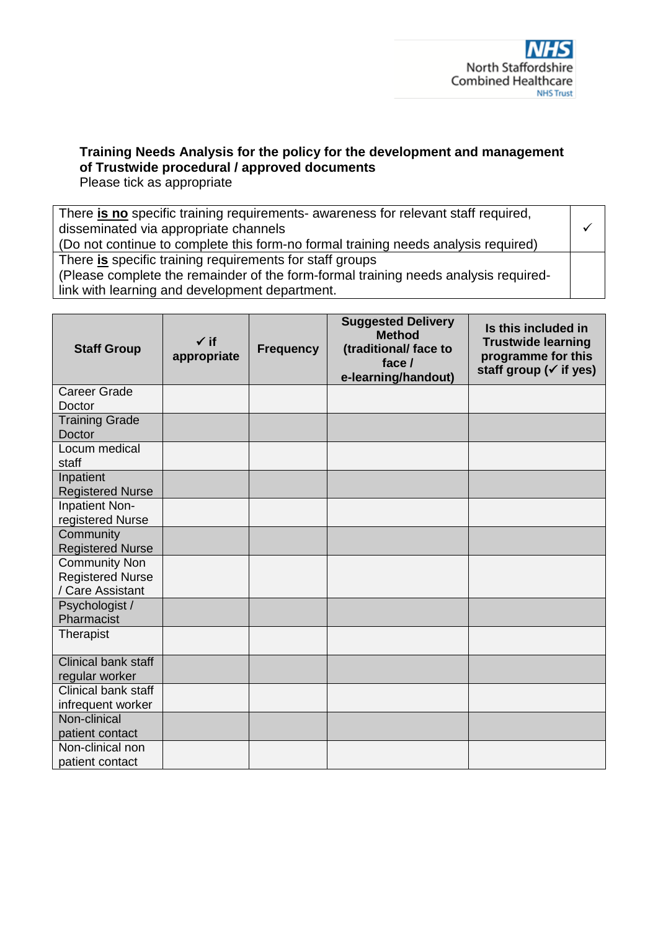

# **Training Needs Analysis for the policy for the development and management of Trustwide procedural / approved documents**

Please tick as appropriate

| There is no specific training requirements- awareness for relevant staff required,  |  |  |  |  |
|-------------------------------------------------------------------------------------|--|--|--|--|
| disseminated via appropriate channels                                               |  |  |  |  |
| (Do not continue to complete this form-no formal training needs analysis required)  |  |  |  |  |
| There is specific training requirements for staff groups                            |  |  |  |  |
| (Please complete the remainder of the form-formal training needs analysis required- |  |  |  |  |
| link with learning and development department.                                      |  |  |  |  |

| <b>Staff Group</b>                                                  | $\checkmark$ if<br>appropriate | <b>Frequency</b> | <b>Suggested Delivery</b><br><b>Method</b><br>(traditional/ face to<br>face /<br>e-learning/handout) | Is this included in<br><b>Trustwide learning</b><br>programme for this<br>staff group ( $\checkmark$ if yes) |
|---------------------------------------------------------------------|--------------------------------|------------------|------------------------------------------------------------------------------------------------------|--------------------------------------------------------------------------------------------------------------|
| <b>Career Grade</b><br>Doctor                                       |                                |                  |                                                                                                      |                                                                                                              |
| <b>Training Grade</b><br><b>Doctor</b>                              |                                |                  |                                                                                                      |                                                                                                              |
| Locum medical<br>staff                                              |                                |                  |                                                                                                      |                                                                                                              |
| Inpatient<br><b>Registered Nurse</b>                                |                                |                  |                                                                                                      |                                                                                                              |
| Inpatient Non-<br>registered Nurse                                  |                                |                  |                                                                                                      |                                                                                                              |
| Community<br><b>Registered Nurse</b>                                |                                |                  |                                                                                                      |                                                                                                              |
| <b>Community Non</b><br><b>Registered Nurse</b><br>/ Care Assistant |                                |                  |                                                                                                      |                                                                                                              |
| Psychologist /<br>Pharmacist                                        |                                |                  |                                                                                                      |                                                                                                              |
| Therapist                                                           |                                |                  |                                                                                                      |                                                                                                              |
| Clinical bank staff<br>regular worker                               |                                |                  |                                                                                                      |                                                                                                              |
| Clinical bank staff<br>infrequent worker                            |                                |                  |                                                                                                      |                                                                                                              |
| Non-clinical<br>patient contact                                     |                                |                  |                                                                                                      |                                                                                                              |
| Non-clinical non<br>patient contact                                 |                                |                  |                                                                                                      |                                                                                                              |